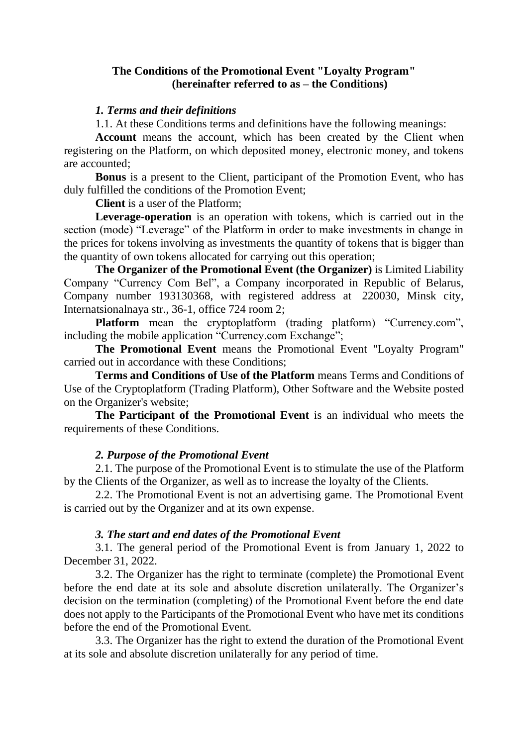## **The Conditions of the Promotional Event "Loyalty Program" (hereinafter referred to as – the Conditions)**

### *1. Terms and their definitions*

1.1. At these Conditions terms and definitions have the following meanings:

**Account** means the account, which has been created by the Client when registering on the Platform, on which deposited money, electronic money, and tokens are accounted;

**Bonus** is a present to the Client, participant of the Promotion Event, who has duly fulfilled the conditions of the Promotion Event;

**Client** is a user of the Platform;

**Leverage-operation** is an operation with tokens, which is carried out in the section (mode) "Leverage" of the Platform in order to make investments in change in the prices for tokens involving as investments the quantity of tokens that is bigger than the quantity of own tokens allocated for carrying out this operation;

**The Organizer of the Promotional Event (the Organizer)** is Limited Liability Company "Currency Com Bel", a Company incorporated in Republic of Belarus, Company number 193130368, with registered address at 220030, Minsk city, Internatsionalnaya str., 36-1, office 724 room 2;

**Platform** mean the cryptoplatform (trading platform) "Currency.com", including the mobile application "Currency.com Exchange";

**The Promotional Event** means the Promotional Event "Loyalty Program" carried out in accordance with these Conditions;

**Terms and Conditions of Use of the Platform** means Terms and Conditions of Use of the Cryptoplatform (Trading Platform), Other Software and the Website posted on the Organizer's website;

**The Participant of the Promotional Event** is an individual who meets the requirements of these Conditions.

## *2. Purpose of the Promotional Event*

2.1. The purpose of the Promotional Event is to stimulate the use of the Platform by the Clients of the Organizer, as well as to increase the loyalty of the Clients.

2.2. The Promotional Event is not an advertising game. The Promotional Event is carried out by the Organizer and at its own expense.

#### *3. The start and end dates of the Promotional Event*

3.1. The general period of the Promotional Event is from January 1, 2022 to December 31, 2022.

3.2. The Organizer has the right to terminate (complete) the Promotional Event before the end date at its sole and absolute discretion unilaterally. The Organizer's decision on the termination (completing) of the Promotional Event before the end date does not apply to the Participants of the Promotional Event who have met its conditions before the end of the Promotional Event.

3.3. The Organizer has the right to extend the duration of the Promotional Event at its sole and absolute discretion unilaterally for any period of time.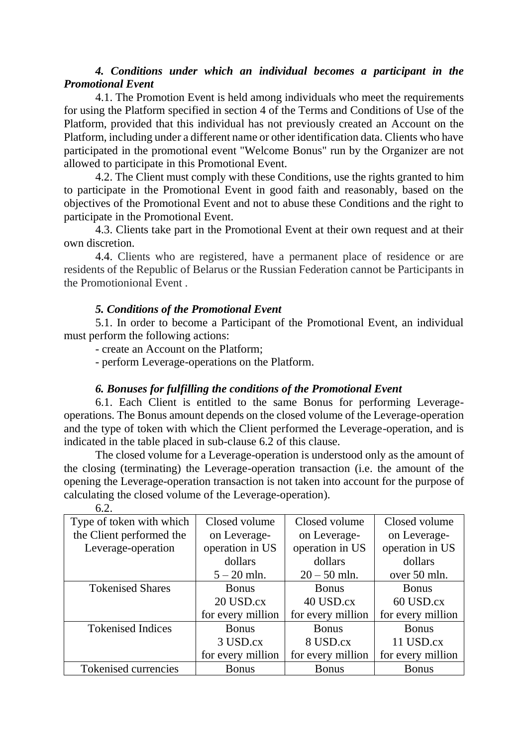# *4. Conditions under which an individual becomes a participant in the Promotional Event*

4.1. The Promotion Event is held among individuals who meet the requirements for using the Platform specified in section 4 of the Terms and Conditions of Use of the Platform, provided that this individual has not previously created an Account on the Platform, including under a different name or other identification data. Clients who have participated in the promotional event "Welcome Bonus" run by the Organizer are not allowed to participate in this Promotional Event.

4.2. The Client must comply with these Conditions, use the rights granted to him to participate in the Promotional Event in good faith and reasonably, based on the objectives of the Promotional Event and not to abuse these Conditions and the right to participate in the Promotional Event.

4.3. Clients take part in the Promotional Event at their own request and at their own discretion.

4.4. Clients who are registered, have a permanent place of residence or are residents of the Republic of Belarus or the Russian Federation cannot be Participants in the Promotionional Event .

# *5. Conditions of the Promotional Event*

5.1. In order to become a Participant of the Promotional Event, an individual must perform the following actions:

- create an Account on the Platform;

- perform Leverage-operations on the Platform.

## *6. Bonuses for fulfilling the conditions of the Promotional Event*

6.1. Each Client is entitled to the same Bonus for performing Leverageoperations. The Bonus amount depends on the closed volume of the Leverage-operation and the type of token with which the Client performed the Leverage-operation, and is indicated in the table placed in sub-clause 6.2 of this clause.

The closed volume for a Leverage-operation is understood only as the amount of the closing (terminating) the Leverage-operation transaction (i.e. the amount of the opening the Leverage-operation transaction is not taken into account for the purpose of calculating the closed volume of the Leverage-operation).

| Type of token with which | Closed volume     | Closed volume     | Closed volume     |
|--------------------------|-------------------|-------------------|-------------------|
| the Client performed the | on Leverage-      | on Leverage-      | on Leverage-      |
| Leverage-operation       | operation in US   | operation in US   | operation in US   |
|                          | dollars           | dollars           | dollars           |
|                          | $5 - 20$ mln.     | $20 - 50$ mln.    | over 50 mln.      |
| <b>Tokenised Shares</b>  | <b>Bonus</b>      | <b>Bonus</b>      | <b>Bonus</b>      |
|                          | 20 USD.cx         | 40 USD.cx         | 60 USD.cx         |
|                          | for every million | for every million | for every million |
| <b>Tokenised Indices</b> | <b>Bonus</b>      | <b>Bonus</b>      | <b>Bonus</b>      |
|                          | 3 USD.cx          | 8 USD.cx          | 11 USD.cx         |
|                          | for every million | for every million | for every million |
| Tokenised currencies     | <b>Bonus</b>      | <b>Bonus</b>      | <b>Bonus</b>      |

6.2.